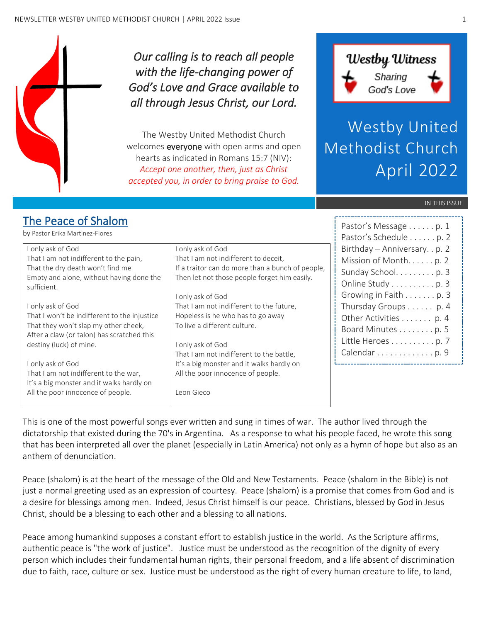

*Our calling is to reach all people with the life-changing power of God's Love and Grace available to all through Jesus Christ, our Lord.* 

The Westby United Methodist Church welcomes **everyone** with open arms and open hearts as indicated in Romans 15:7 (NIV): *Accept one another, then, just as Christ accepted you, in order to bring praise to God.*



Westby United Methodist Church April 2022

Pastor's Message . . . . . . p. 1 Pastor's Schedule . . . . . . 2

#### IN THIS ISSUE

## The Peace of Shalom

by Pastor Erika Martinez-Flores

|                                              |                                                  | $1$ abtor 5 borroadio $1$ , $1$ , $1$ , $1$ , $1$ |
|----------------------------------------------|--------------------------------------------------|---------------------------------------------------|
| I only ask of God                            | I only ask of God                                | Birthday - Anniversary. . p. 2                    |
| That I am not indifferent to the pain,       | That I am not indifferent to deceit,             | Mission of Month. p. 2                            |
| That the dry death won't find me             | If a traitor can do more than a bunch of people, | Sunday School. p. 3                               |
| Empty and alone, without having done the     | Then let not those people forget him easily.     |                                                   |
| sufficient.                                  |                                                  | Online Study p. 3                                 |
|                                              | I only ask of God                                | Growing in Faith p. 3                             |
| I only ask of God                            | That I am not indifferent to the future,         | Thursday Groups p. 4                              |
| That I won't be indifferent to the injustice | Hopeless is he who has to go away                | Other Activities p. 4                             |
| That they won't slap my other cheek,         | To live a different culture.                     | Board Minutes p. 5                                |
| After a claw (or talon) has scratched this   |                                                  |                                                   |
| destiny (luck) of mine.                      | only ask of God                                  | Little Heroes p. 7                                |
|                                              | That I am not indifferent to the battle,         | Calendar p. 9                                     |
| I only ask of God                            | It's a big monster and it walks hardly on        |                                                   |
| That I am not indifferent to the war,        | All the poor innocence of people.                |                                                   |
| It's a big monster and it walks hardly on    |                                                  |                                                   |
| All the poor innocence of people.            | Leon Gieco                                       |                                                   |
|                                              |                                                  |                                                   |

This is one of the most powerful songs ever written and sung in times of war. The author lived through the dictatorship that existed during the 70's in Argentina. As a response to what his people faced, he wrote this song that has been interpreted all over the planet (especially in Latin America) not only as a hymn of hope but also as an anthem of denunciation.

Peace (shalom) is at the heart of the message of the Old and New Testaments. Peace (shalom in the Bible) is not just a normal greeting used as an expression of courtesy. Peace (shalom) is a promise that comes from God and is a desire for blessings among men. Indeed, Jesus Christ himself is our peace. Christians, blessed by God in Jesus Christ, should be a blessing to each other and a blessing to all nations.

Peace among humankind supposes a constant effort to establish justice in the world. As the Scripture affirms, authentic peace is "the work of justice". Justice must be understood as the recognition of the dignity of every person which includes their fundamental human rights, their personal freedom, and a life absent of discrimination due to faith, race, culture or sex. Justice must be understood as the right of every human creature to life, to land,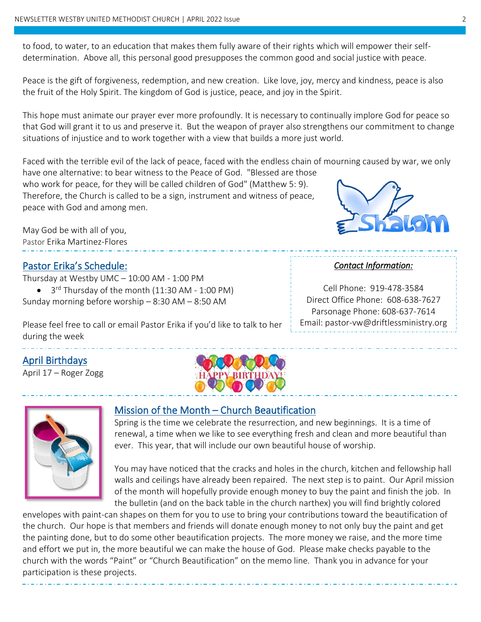to food, to water, to an education that makes them fully aware of their rights which will empower their selfdetermination. Above all, this personal good presupposes the common good and social justice with peace.

Peace is the gift of forgiveness, redemption, and new creation. Like love, joy, mercy and kindness, peace is also the fruit of the Holy Spirit. The kingdom of God is justice, peace, and joy in the Spirit.

This hope must animate our prayer ever more profoundly. It is necessary to continually implore God for peace so that God will grant it to us and preserve it. But the weapon of prayer also strengthens our commitment to change situations of injustice and to work together with a view that builds a more just world.

Faced with the terrible evil of the lack of peace, faced with the endless chain of mourning caused by war, we only have one alternative: to bear witness to the Peace of God. "Blessed are those

who work for peace, for they will be called children of God" (Matthew 5: 9). Therefore, the Church is called to be a sign, instrument and witness of peace, peace with God and among men.

May God be with all of you, Pastor Erika Martinez-Flores

#### Pastor Erika's Schedule:

Thursday at Westby UMC – 10:00 AM - 1:00 PM

• 3<sup>rd</sup> Thursday of the month (11:30 AM - 1:00 PM) Sunday morning before worship – 8:30 AM – 8:50 AM

Please feel free to call or email Pastor Erika if you'd like to talk to her during the week

## April Birthdays

April 17 – Roger Zogg





 $\overline{a}$ 

#### Mission of the Month – Church Beautification

Spring is the time we celebrate the resurrection, and new beginnings. It is a time of renewal, a time when we like to see everything fresh and clean and more beautiful than ever. This year, that will include our own beautiful house of worship.

You may have noticed that the cracks and holes in the church, kitchen and fellowship hall walls and ceilings have already been repaired. The next step is to paint. Our April mission of the month will hopefully provide enough money to buy the paint and finish the job. In the bulletin (and on the back table in the church narthex) you will find brightly colored

envelopes with paint-can shapes on them for you to use to bring your contributions toward the beautification of the church. Our hope is that members and friends will donate enough money to not only buy the paint and get the painting done, but to do some other beautification projects. The more money we raise, and the more time and effort we put in, the more beautiful we can make the house of God. Please make checks payable to the church with the words "Paint" or "Church Beautification" on the memo line. Thank you in advance for your participation is these projects.

#### *Contact Information:*

Cell Phone: 919-478-3584 Direct Office Phone: 608-638-7627 Parsonage Phone: 608-637-7614 Email: pastor-vw@driftlessministry.org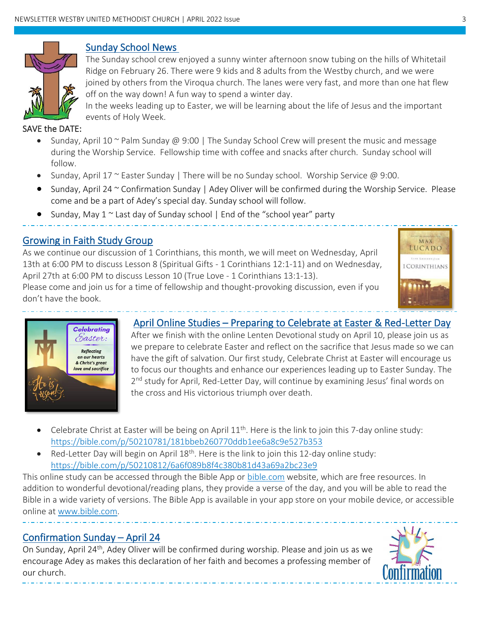

#### Sunday School News

The Sunday school crew enjoyed a sunny winter afternoon snow tubing on the hills of Whitetail Ridge on February 26. There were 9 kids and 8 adults from the Westby church, and we were joined by others from the Viroqua church. The lanes were very fast, and more than one hat flew off on the way down! A fun way to spend a winter day.

In the weeks leading up to Easter, we will be learning about the life of Jesus and the important events of Holy Week.

#### SAVE the DATE:

Í

- Sunday, April 10  $\sim$  Palm Sunday @ 9:00 | The Sunday School Crew will present the music and message during the Worship Service. Fellowship time with coffee and snacks after church. Sunday school will follow.
- Sunday, April 17 ~ Easter Sunday | There will be no Sunday school. Worship Service @ 9:00.
- Sunday, April 24 ~ Confirmation Sunday | Adey Oliver will be confirmed during the Worship Service. Please come and be a part of Adey's special day. Sunday school will follow.
- Sunday, May 1 ~ Last day of Sunday school | End of the "school year" party

#### Growing in Faith Study Group

As we continue our discussion of 1 Corinthians, this month, we will meet on Wednesday, April 13th at 6:00 PM to discuss Lesson 8 (Spiritual Gifts - 1 Corinthians 12:1-11) and on Wednesday, April 27th at 6:00 PM to discuss Lesson 10 (True Love - 1 Corinthians 13:1-13).

Please come and join us for a time of fellowship and thought-provoking discussion, even if you don't have the book.





#### April Online Studies – Preparing to Celebrate at Easter & Red-Letter Day

After we finish with the online Lenten Devotional study on April 10, please join us as we prepare to celebrate Easter and reflect on the sacrifice that Jesus made so we can have the gift of salvation. Our first study, Celebrate Christ at Easter will encourage us to focus our thoughts and enhance our experiences leading up to Easter Sunday. The 2<sup>nd</sup> study for April, Red-Letter Day, will continue by examining Jesus' final words on the cross and His victorious triumph over death.

- Celebrate Christ at Easter will be being on April 11<sup>th</sup>. Here is the link to join this 7-day online study: <https://bible.com/p/50210781/181bbeb260770ddb1ee6a8c9e527b353>
- Red-Letter Day will begin on April 18<sup>th</sup>. Here is the link to join this 12-day online study: <https://bible.com/p/50210812/6a6f089b8f4c380b81d43a69a2bc23e9>

This online study can be accessed through the Bible App or [bible.com](http://www.bible.com/) website, which are free resources. In addition to wonderful devotional/reading plans, they provide a verse of the day, and you will be able to read the Bible in a wide variety of versions. The Bible App is available in your app store on your mobile device, or accessible online at [www.bible.com.](file:///C:/Users/Paul/Documents/Linda/Church%20Newsletter/Oct2021/www.bible.com)

#### Confirmation Sunday – April 24

j

֧֪֖֚֞֝֬֝֬֝֬֝

On Sunday, April 24<sup>th</sup>, Adey Oliver will be confirmed during worship. Please and join us as we encourage Adey as makes this declaration of her faith and becomes a professing member of our church.

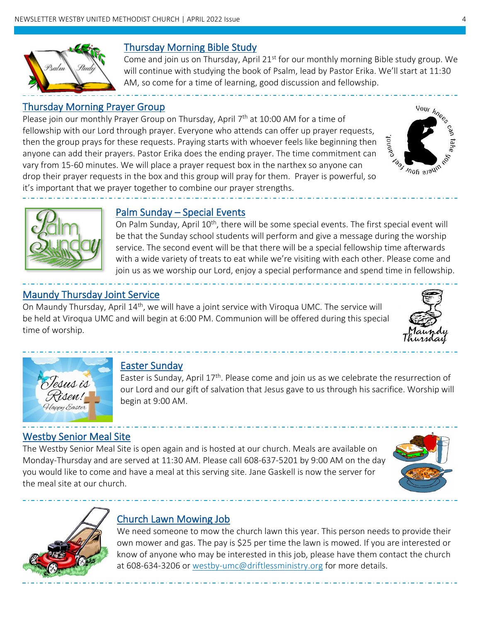

## Thursday Morning Bible Study

Come and join us on Thursday, April  $21^{st}$  for our monthly morning Bible study group. We will continue with studying the book of Psalm, lead by Pastor Erika. We'll start at 11:30 AM, so come for a time of learning, good discussion and fellowship.

## Thursday Morning Prayer Group

Please join our monthly Prayer Group on Thursday, April 7<sup>th</sup> at 10:00 AM for a time of fellowship with our Lord through prayer. Everyone who attends can offer up prayer requests, then the group prays for these requests. Praying starts with whoever feels like beginning then anyone can add their prayers. Pastor Erika does the ending prayer. The time commitment can vary from 15-60 minutes. We will place a prayer request box in the narthex so anyone can drop their prayer requests in the box and this group will pray for them. Prayer is powerful, so it's important that we prayer together to combine our prayer strengths.





#### Palm Sunday – Special Events

On Palm Sunday, April 10<sup>th</sup>, there will be some special events. The first special event will be that the Sunday school students will perform and give a message during the worship service. The second event will be that there will be a special fellowship time afterwards with a wide variety of treats to eat while we're visiting with each other. Please come and join us as we worship our Lord, enjoy a special performance and spend time in fellowship.

## Maundy Thursday Joint Service

On Maundy Thursday, April 14<sup>th</sup>, we will have a joint service with Viroqua UMC. The service will be held at Viroqua UMC and will begin at 6:00 PM. Communion will be offered during this special time of worship.





## Easter Sunday

Easter is Sunday, April  $17<sup>th</sup>$ . Please come and join us as we celebrate the resurrection of our Lord and our gift of salvation that Jesus gave to us through his sacrifice. Worship will begin at 9:00 AM.

## Westby Senior Meal Site

The Westby Senior Meal Site is open again and is hosted at our church. Meals are available on Monday-Thursday and are served at 11:30 AM. Please call 608-637-5201 by 9:00 AM on the day you would like to come and have a meal at this serving site. Jane Gaskell is now the server for the meal site at our church.





## Church Lawn Mowing Job

We need someone to mow the church lawn this year. This person needs to provide their own mower and gas. The pay is \$25 per time the lawn is mowed. If you are interested or know of anyone who may be interested in this job, please have them contact the church at 608-634-3206 or [westby-umc@driftlessministry.org](mailto:westby-umc@driftlessministry.org) for more details.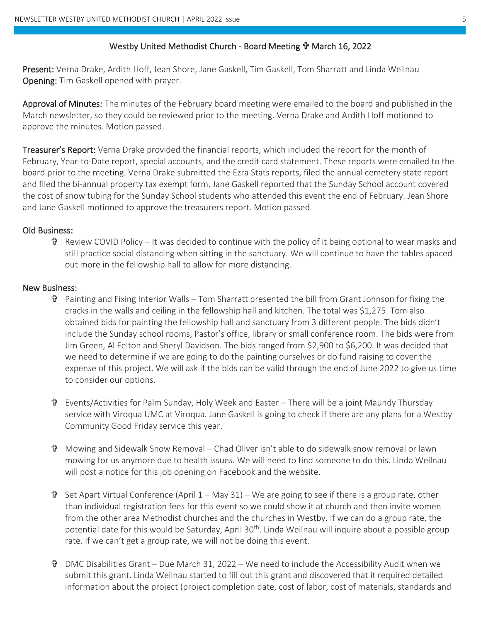#### Westby United Methodist Church - Board Meeting *I* March 16, 2022

Present: Verna Drake, Ardith Hoff, Jean Shore, Jane Gaskell, Tim Gaskell, Tom Sharratt and Linda Weilnau Opening: Tim Gaskell opened with prayer.

Approval of Minutes: The minutes of the February board meeting were emailed to the board and published in the March newsletter, so they could be reviewed prior to the meeting. Verna Drake and Ardith Hoff motioned to approve the minutes. Motion passed.

Treasurer's Report: Verna Drake provided the financial reports, which included the report for the month of February, Year-to-Date report, special accounts, and the credit card statement. These reports were emailed to the board prior to the meeting. Verna Drake submitted the Ezra Stats reports, filed the annual cemetery state report and filed the bi-annual property tax exempt form. Jane Gaskell reported that the Sunday School account covered the cost of snow tubing for the Sunday School students who attended this event the end of February. Jean Shore and Jane Gaskell motioned to approve the treasurers report. Motion passed.

#### Old Business:

 Review COVID Policy – It was decided to continue with the policy of it being optional to wear masks and still practice social distancing when sitting in the sanctuary. We will continue to have the tables spaced out more in the fellowship hall to allow for more distancing.

#### New Business:

- $\mathbf{\hat{P}}$  Painting and Fixing Interior Walls Tom Sharratt presented the bill from Grant Johnson for fixing the cracks in the walls and ceiling in the fellowship hall and kitchen. The total was \$1,275. Tom also obtained bids for painting the fellowship hall and sanctuary from 3 different people. The bids didn't include the Sunday school rooms, Pastor's office, library or small conference room. The bids were from Jim Green, Al Felton and Sheryl Davidson. The bids ranged from \$2,900 to \$6,200. It was decided that we need to determine if we are going to do the painting ourselves or do fund raising to cover the expense of this project. We will ask if the bids can be valid through the end of June 2022 to give us time to consider our options.
- Events/Activities for Palm Sunday, Holy Week and Easter There will be a joint Maundy Thursday service with Viroqua UMC at Viroqua. Jane Gaskell is going to check if there are any plans for a Westby Community Good Friday service this year.
- Mowing and Sidewalk Snow Removal Chad Oliver isn't able to do sidewalk snow removal or lawn mowing for us anymore due to health issues. We will need to find someone to do this. Linda Weilnau will post a notice for this job opening on Facebook and the website.
- $\mathbf{\hat{T}}$  Set Apart Virtual Conference (April 1 May 31) We are going to see if there is a group rate, other than individual registration fees for this event so we could show it at church and then invite women from the other area Methodist churches and the churches in Westby. If we can do a group rate, the potential date for this would be Saturday, April 30<sup>th</sup>. Linda Weilnau will inquire about a possible group rate. If we can't get a group rate, we will not be doing this event.
- DMC Disabilities Grant Due March 31, 2022 We need to include the Accessibility Audit when we submit this grant. Linda Weilnau started to fill out this grant and discovered that it required detailed information about the project (project completion date, cost of labor, cost of materials, standards and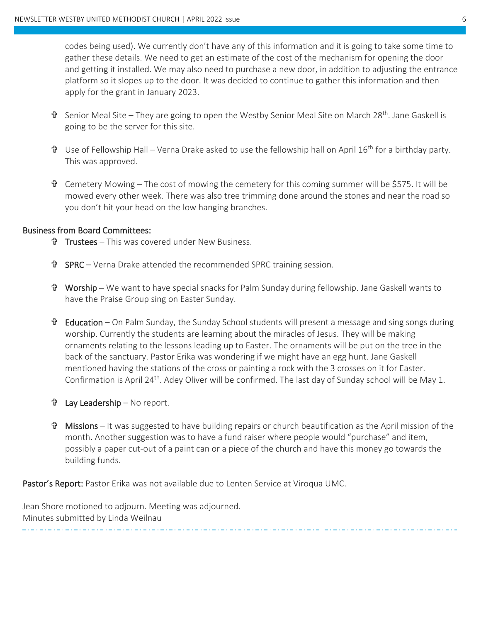codes being used). We currently don't have any of this information and it is going to take some time to gather these details. We need to get an estimate of the cost of the mechanism for opening the door and getting it installed. We may also need to purchase a new door, in addition to adjusting the entrance platform so it slopes up to the door. It was decided to continue to gather this information and then apply for the grant in January 2023.

- Senior Meal Site They are going to open the Westby Senior Meal Site on March 28th. Jane Gaskell is going to be the server for this site.
- $\mathbf{\hat{T}}$  Use of Fellowship Hall Verna Drake asked to use the fellowship hall on April 16<sup>th</sup> for a birthday party. This was approved.
- $\mathbf{\hat{T}}$  Cemetery Mowing The cost of mowing the cemetery for this coming summer will be \$575. It will be mowed every other week. There was also tree trimming done around the stones and near the road so you don't hit your head on the low hanging branches.

#### Business from Board Committees:

- Trustees This was covered under New Business.
- $\mathbf{\hat{P}}$  SPRC Verna Drake attended the recommended SPRC training session.
- Worship We want to have special snacks for Palm Sunday during fellowship. Jane Gaskell wants to have the Praise Group sing on Easter Sunday.
- $\mathbf{\hat{F}}$  Education On Palm Sunday, the Sunday School students will present a message and sing songs during worship. Currently the students are learning about the miracles of Jesus. They will be making ornaments relating to the lessons leading up to Easter. The ornaments will be put on the tree in the back of the sanctuary. Pastor Erika was wondering if we might have an egg hunt. Jane Gaskell mentioned having the stations of the cross or painting a rock with the 3 crosses on it for Easter. Confirmation is April 24<sup>th</sup>. Adey Oliver will be confirmed. The last day of Sunday school will be May 1.
- Lay Leadership No report.
- Missions It was suggested to have building repairs or church beautification as the April mission of the month. Another suggestion was to have a fund raiser where people would "purchase" and item, possibly a paper cut-out of a paint can or a piece of the church and have this money go towards the building funds.

Pastor's Report: Pastor Erika was not available due to Lenten Service at Viroqua UMC.

Jean Shore motioned to adjourn. Meeting was adjourned. Minutes submitted by Linda Weilnau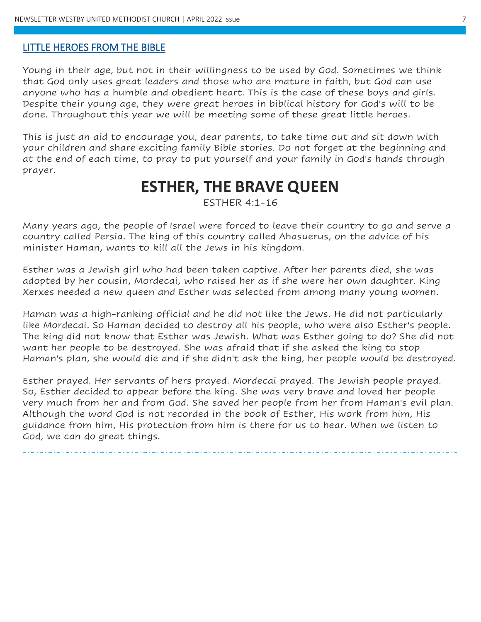#### LITTLE HEROES FROM THE BIBLE

Young in their age, but not in their willingness to be used by God. Sometimes we think that God only uses great leaders and those who are mature in faith, but God can use anyone who has a humble and obedient heart. This is the case of these boys and girls. Despite their young age, they were great heroes in biblical history for God's will to be done. Throughout this year we will be meeting some of these great little heroes.

This is just an aid to encourage you, dear parents, to take time out and sit down with your children and share exciting family Bible stories. Do not forget at the beginning and at the end of each time, to pray to put yourself and your family in God's hands through prayer.

# **ESTHER, THE BRAVE QUEEN**

ESTHER 4:1-16

Many years ago, the people of Israel were forced to leave their country to go and serve a country called Persia. The king of this country called Ahasuerus, on the advice of his minister Haman, wants to kill all the Jews in his kingdom.

Esther was a Jewish girl who had been taken captive. After her parents died, she was adopted by her cousin, Mordecai, who raised her as if she were her own daughter. King Xerxes needed a new queen and Esther was selected from among many young women.

Haman was a high-ranking official and he did not like the Jews. He did not particularly like Mordecai. So Haman decided to destroy all his people, who were also Esther's people. The king did not know that Esther was Jewish. What was Esther going to do? She did not want her people to be destroyed. She was afraid that if she asked the king to stop Haman's plan, she would die and if she didn't ask the king, her people would be destroyed.

Esther prayed. Her servants of hers prayed. Mordecai prayed. The Jewish people prayed. So, Esther decided to appear before the king. She was very brave and loved her people very much from her and from God. She saved her people from her from Haman's evil plan. Although the word God is not recorded in the book of Esther, His work from him, His guidance from him, His protection from him is there for us to hear. When we listen to God, we can do great things.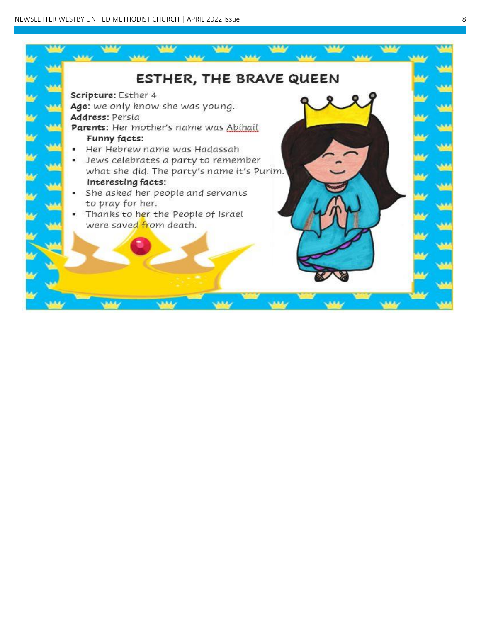